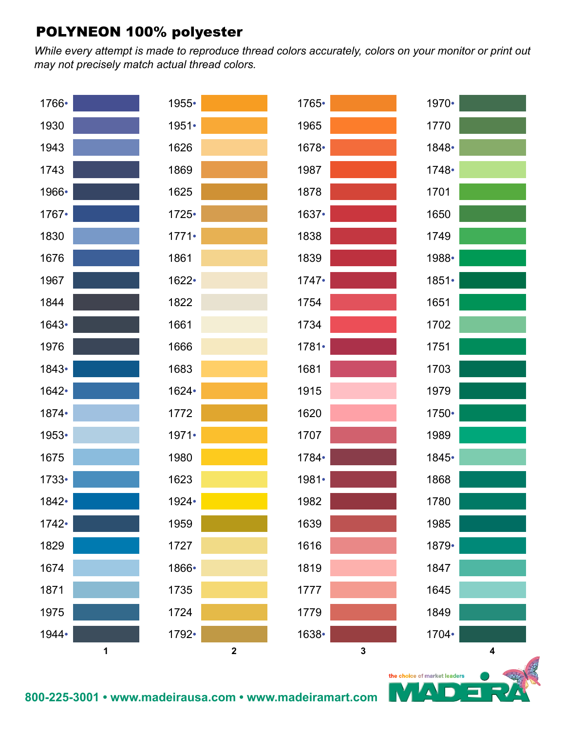*While every attempt is made to reproduce thread colors accurately, colors on your monitor or print out may not precisely match actual thread colors.*



Δ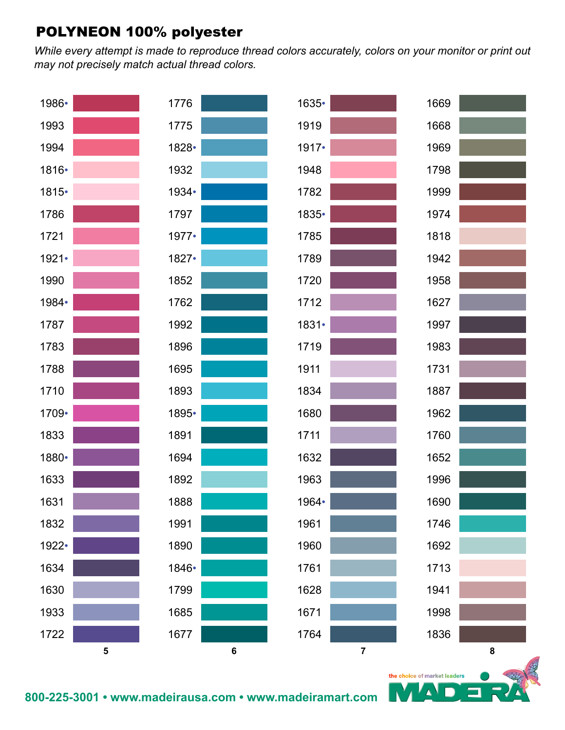*While every attempt is made to reproduce thread colors accurately, colors on your monitor or print out may not precisely match actual thread colors.*



Δ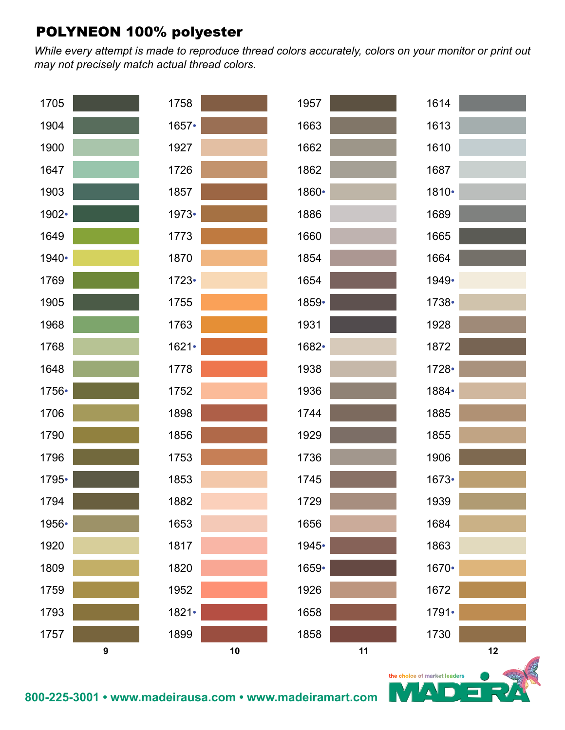*While every attempt is made to reproduce thread colors accurately, colors on your monitor or print out may not precisely match actual thread colors.*



 $\blacktriangle$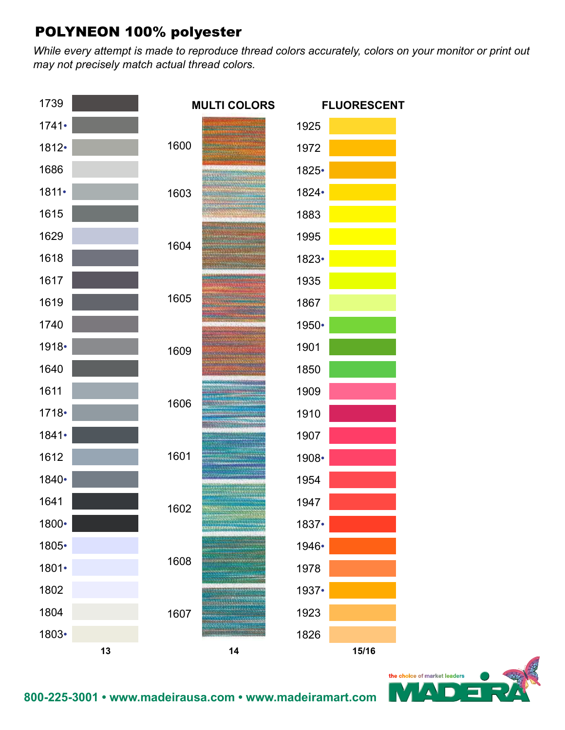*While every attempt is made to reproduce thread colors accurately, colors on your monitor or print out may not precisely match actual thread colors.*